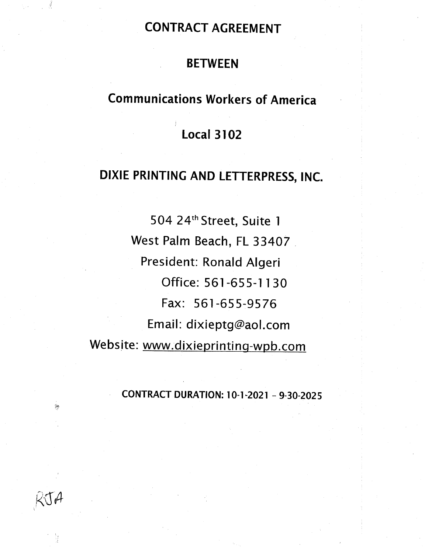# CONTRACT AGREEMENT

# . BETWEEN

# Communications Workers of America

# Local 3102

# DIXIE PRINTING AND LETTERPRESS,INC.

504 24th Street, Suite <sup>I</sup> West Palm Beach, FL 33407 President: Ronald Algeri Office: 561-655-1 I 30 Fax: 561-655-9576 Email: dixieptg@aol.com Website: www.dixieprinting-wpb.com

# - CONTRACTDURATION: 10-1-2021 - 9-30-2025

 $KJA$ 

H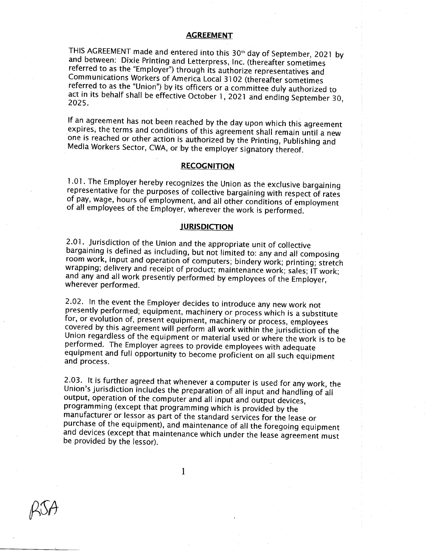## **AGREEMENT**

THIS AGREEMENT made and entered into this 30<sup>th</sup> day of September, 2021 by and between: Dixie Printing and Letterpress, Inc. (thereafter sometimes referred to as the "Employer") through its authorize representatives and Communications Workers of America Local 3102 (thereafter sometimes referred to as the "Union") by its officers or a committee duly authorized to act in its behalf shall be effective October 1, 2021 and ending September 30, 2025.

If an agreement has not been reached by the day upon which this agreement expires, the terms and conditions of this agreement shall remain until <sup>a</sup> new one is reached or other action is authorized by the Printing, Publishing and Media Workers Sector, CWA, or by the employer signatory thereof.

### RECOGNITION

1.01. The Employer hereby recognizes the Union as the exclusive bargaining representative for the purposes of collective bargaining with respect of rates of pay, wage, hours of employment, and all other conditions of employment of all employees of the Employer, wherever the work is performed. '

#### **JURISDICTION**

2.01. Jurisdiction of the Union and the appropriate unit of collective<br>bargaining is defined as including, but not limited to: any and all composing room work, input and operation of computers; bindery work; printing; stretch<br>wrapping; delivery and receipt of product; maintenance work; sales; IT work; and any and all work presently performed by employees of the Employer, wherever performed.

2.02. in the event the Employer decides to introduce any new work not presently performed; equipment, machinery or process which is a substitute for, or evolution of, present equipment, machinery or process, employees covered by this agreement will perform all work within the jurisdiction of the Union regardless of the equipment or material used or where the work is to be performed. The Employer agrees to provide employees with adequate equipment and full opportunity to become proficient on all such equipment<br>and process.

2.03. It is further agreed that whenever a computer is used for any work, the Union's jurisdiction includes the preparation of all input and handling of all output, operation of the computer and all input and output devices, programming (except that programming which is provided by the ' manufacturer or lessor as part of the standard services for the lease or<br>purchase of the equipment), and maintenance of all the foregoing equipment and devices (except that maintenance which under the lease agreement must be provided by the lessor).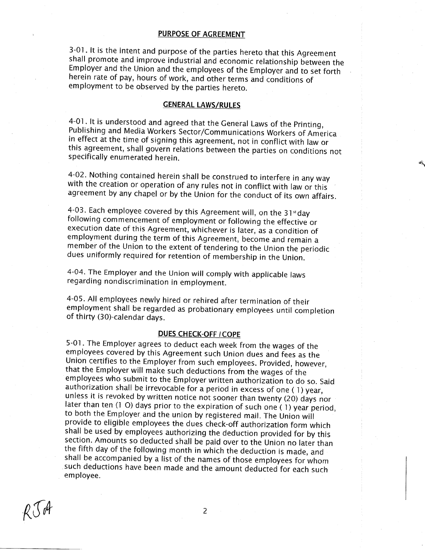#### PURPOSE OF AGREEMENT

3-01. It is the intent and purpose of the parties hereto that this Agreement shall promote and improve industrial and economic relationship between the Employer and the Union and the employees of the Employer and to set forth herein rate of pay, hours of work, and other terms and conditions of employment to be observed by the parties hereto.

### **GENERAL LAWS/RULES**

4~Ol. It is understood and agreed that the General Laws of the Printing, Publishing and Media Workers Sector/Communications Workers of America in effect at the time of signing this agreement, not in conflict with law or this agreement, shall govern relations between the parties on conditions not specifically enumerated herein.

as,

4-02. Nothing contained herein shall be construed to interfere in any way with the creation or operation of any rules not in conflict with law or this agreement by any chapel or by the Union for the conduct of its own affairs.

4-03. Each employee covered by this Agreement will, on the 31<sup>st</sup>day following commencement of employment or following the effective or execution date of this Agreement, whichever is later, as a condition of employment during the term of this Agreement, become and remain a member of the Union to the extent of tendering to the Union the periodic dues uniformly required for retention of membership in the Union.

4-04. The Employer and the Union will comply with applicable laws regarding nondiscrimination in employment.

4-05. All employees newly hired or rehired after termination of their employment shall be regarded as probationary employees until completion of thirty (30)-calendar days.

# DUES CHECK-OFF ICOPE

5-01. The Employer agrees to deduct each week from the wages of the Union certifies to the Employer from such employees. Provided, however, that the Employer will make such deductions from the wages of the employees who submit to the Employer written authorization to do so. Said authorization shall be irrevocable for <sup>a</sup> period in excess of one unless it is revoked by written notice not sooner than twenty (20) days nor later than ten (1 O) days prior to the expiration of such one (1) year period, to both the Employer and the union by registered mail. The Union w provide to eligible employees the dues check-off authorization form which shall be used by employees authorizing the deduction provided for by this section. Amounts so deducted shall be paid over to the Union no later than the fifth day of the following month in which the deduction is made, and shall be accompanied by <sup>a</sup> list of the names of those employees for whom such deductions have been made and the amount deducted for each such employee.

 $R\mathcal{I}$ dt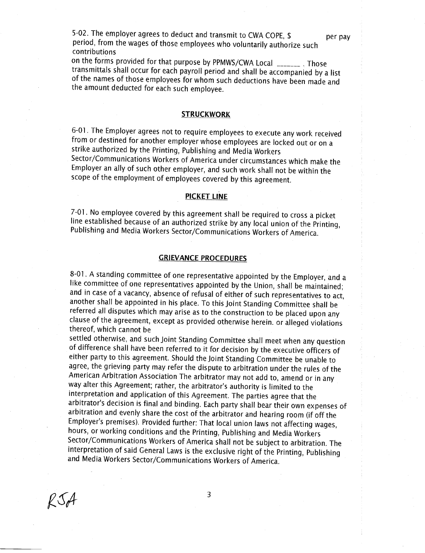5-02. The employer agrees to deduct and transmit to CWA COPE, \$ per pay period, from the wages of those employees who voluntarily authorize such ' contributions

on the forms provided for that purpose by PPMWS/CWA Local \_\_\_\_\_\_\_ . Those ' transmittals shall occur for each payroll period and shall be accompanied by <sup>a</sup> list ' of the names of those employees for whom such deductions have been made and the amount deducted for each such employee.

#### **STRUCKWORK**

6-01. The Employer agrees not to require employees to execute any work received . from or destined for another employer whose employees are locked out or on <sup>a</sup> strike authorized by the Printing, Publishing and Media Workers Sector/Communications Workers of America under circumstances which make the Employer an ally of such other employer, and such work shall not be within the scope of the employment of employees covered by this agreement.

#### PICKET LINE

7-01. No employee covered by this agreement shall be required to cross <sup>a</sup> picket \_ line established because of an authorized strike by any local union of the Printing, <sup>1</sup> Publishing and Media Workers Sector/Communications Workers of America. <sup>1</sup>

### **GRIEVANCE PROCEDURES**

. 8—01. <sup>A</sup> standing committee of one representative appointed by the Employer, and <sup>a</sup> like committee of one representatives appointed by the Union, shall be maintained; and in case of <sup>a</sup> vacancy, absence of refusal of either of such representatives to act, <sup>1</sup> another shall be appointed in his place. To this Joint Standing Committee shall be referred all disputes which may arise as to the construction to be placed upon any clause of the agreement, except as provided otherwise herein. or alleged violations thereof, which cannot be '

settled otherwise, and such Joint Standing Committee shall meet when any question ' of difference shall have been referred to it for decision by the executive officers of <sup>j</sup> either party to this agreement. Should the Joint Standing Committee be unable to agree, the grieving party may refer the dispute to arbitration under the rules of the American Arbitration Association The arbitrator may not add to, amend or in any ' way alter this Agreement; rather, the arbitrator's authority is limited to the interpretation and application of this Agreement. The parties agree that the arbitrator's decision is final and binding. Each party shall bear their own expenses of ' arbitration and evenly share the cost of the arbitrator and hearing room (if off the Employer's premises). Provided further: That local union laws not affecting wages, hours, or working conditions and the Printing, Publishing and Media Workers <sup>1</sup> Sector/Communications Workers of America shall not be subject to arbitration. The interpretation of said General Laws is the exclusive right of the Printing, Publishing and Media Workers Sector/Communications Workers of America.

 $RSA$  3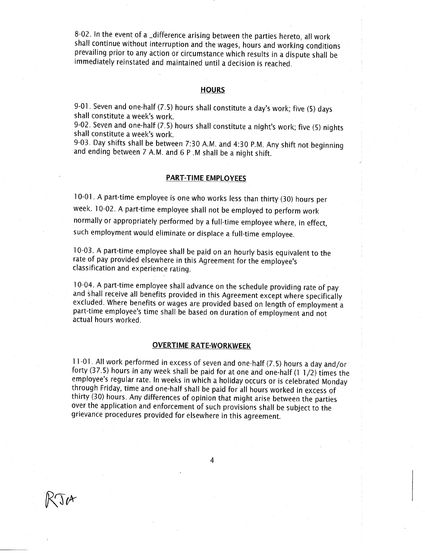8-02. In the event of a  $\Delta$  difference arising between the parties hereto, all work shall continue without interruption and the wages, hours and working conditions prevailing prior to any action or circumstance which results in <sup>a</sup> dispute shall be immediately reinstated and maintained until a decision is reached.

#### **HOURS**

9-01. Seven and one-half (7.5) hours shall constitute <sup>a</sup> day's work; five (5) days shall constitute <sup>a</sup> week's work.

9-02. Seven and one-half (7.5) hours shall constitute <sup>a</sup> night's work; five (5) nights ' shall constitute <sup>a</sup> week's work. .

9-03. Day shifts shall be between 7:30 A.M. and 4:30 P.M. Any shift not beginning and ending between 7 A.M. and 6 P.M shall be a night shift.

# **PART-TIME EMPLOYEES**

iO-Oi. <sup>A</sup> part-time employee is one who works less than thirty (30) hours per week. 10-02. <sup>A</sup> part-time employee shall not be employed to perform work ' normally or appropriately performed by a full-time employee where, in effect, such employment would eliminate or displace <sup>a</sup> full-time employee.

10-03. A part-time employee shall be paid on an hourly basis equivalent to the rate of pay provided elsewhere in this Agreement for the employee's classification and experience rating.

10-04. <sup>A</sup> part-time employee shall advance on the schedule providing rate of pay <sup>I</sup> and shall receive all benefits provided in this Agreement except where specifically excluded. Where benefits or wages are provided based on length of employment a part-time employee's time shall-be based on duration of employment and not actual hours worked. '

#### OVERTIME RATE-WORKWEEK

11-01. All work performed in excess of seven and one-half (7.5) hours a day and/or forty (37.5) hours in any week shall be paid for at one and one-half (1 1/2) times the employee's regular rate. in weeks in which <sup>a</sup> holiday occurs or is celebrated Monday through Friday, time and one-half shall be paid for all hours worked in excess of over the application and enforcement of such provisions shall be subject to the grievance procedures provided for elsewhere in this agreement.

 $\mathbb{K}$  s  $\mathbb{R}^d$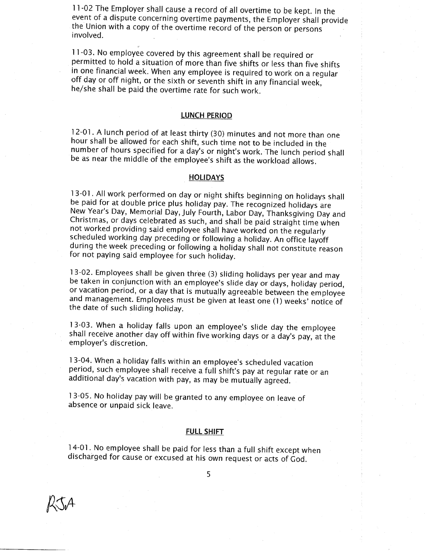<sup>1</sup> 1-02 The Employer shall cause <sup>a</sup> record of all overtime to be kept. In the event of a dispute concerning overtime payments, the Employer shall provide the Union with <sup>a</sup> copy of the overtime record of the person or persons involved. .

 $11-03$ . No employee covered by this agreement shall be required or permitted to hold <sup>a</sup> situation of more than five shifts or less than five shifts off day or off night, or the sixth or seventh shift in any financial week, he/she shall be paid the overtime rate for such work.

#### LUNCH PERIOD

12—0]. <sup>A</sup> lunch period of at least thirty (30) minutes and not more than one hour shall be allowed for each shift, such time not to be included in the number of hours specified for <sup>a</sup> day's or night's work. The lunch period shall be as near the middle of the employee's shift as the workload allows.

#### **HOLIDAYS**

l3-Ol . All work performed on day or night shifts beginning on holidays shall be paid for at double price plus holiday pay. The recognized holidays are <sup>1</sup> New Year's Day, Memorial Day, July Fourth, Labor Day, Thanksgiving Day and Christmas, or days celebrated as such, and shall be paid straight time When not worked providing said employee shall have worked on the regularly scheduled working day preceding or following a holiday. An office layoff during the week preceding or following a holiday shall not constitute reason for not paying said employee for such holiday.

13—02. Employees shall be given three (3) sliding holidays per year and may be taken in conjunctionwith an employee's slide day or days, holiday period, or vacation period, or a day that is mutually agreeable between the employee and management. Employees must be given at least one (1) weeks' notice of the date of such sliding holiday.

13-03. When <sup>a</sup> holiday falls upon an employee's slide day the employee shall receive another day off within five working days or a day's pay, at the employer's discretion.

13-04. When <sup>a</sup> holiday falls within an employee's scheduled vacation period, such employee shall receive <sup>a</sup> full shift's pay at regular rate or an ' additional day's vacation with pay, as may be mutually agreed.

13-05. No holiday pay will be granted to any employee on leave of absence or unpaid sick leave.

#### FULL SHIFT

14-01. No employee shall be paid for less than <sup>a</sup> full shift except when ' discharged for cause or excused at his own request or acts of God.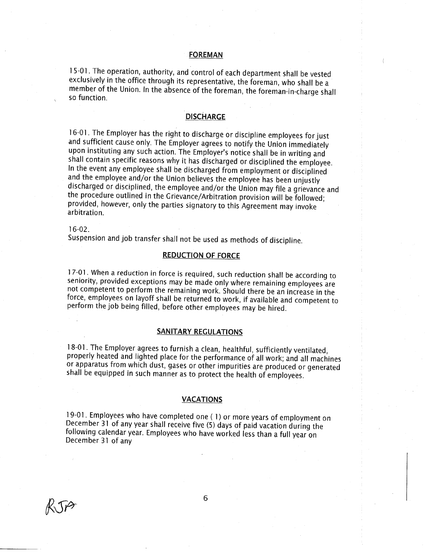#### FOREMAN

15-01. The operation, authority, and control of each department shall be vested exclusively in the office through its representative, the foreman, who shall be <sup>a</sup> member of the Union. In the absence of the foreman, the foreman-in-charge shall so function.

# **DISCHARGE**

16-01. The Employer has the right to discharge or discipline employees for just and sufficient cause only. The Employer agrees to notify the Union immediately upon instituting any such action. The Employer's notice shall be in writing and shall contain specific reasons why it has discharged or disciplined the employee.<br>In the event any employee shall be discharged from employment or disciplined and the employee and/or the Union believes the employee has been unjustly discharged or disciplined, the employee and/or the Union may file <sup>a</sup> grievance and the procedure outlined in the Grievance/Arbitration provision will be followed; provided, however, only the parties signatory to this Agreement may invoke . arbitration. '

#### 16-02.

Suspension and job transfer shall not be used as methods of discipline.

#### **REDUCTION OF FORCE**

17-01. When <sup>a</sup> reduction in force is required, such reduction shall be according to seniority, provided exceptions may be made only where remaining employees are not competent to perform the remaining work. Should there be an increase in the . force, employees on layoff shall be returned to work, if available and competent to ' perform the job being filled, before other employees may be hired.

#### SANITARY REGULATIONS

18-01. The Employer agrees to furnish a clean, healthful, sufficiently ventilated, properly heated and lighted place for the performance of all work; and all machines shall be equipped in such manner as to protect the health of employees.

#### **VACATIONS**

19~Oi. Employees who have completed one ( l) or more years of employment on <sup>1</sup> December <sup>31</sup> of any year shall receive five (5) days of paid vacation during the . following calendar year. Employees who have worked less than <sup>a</sup> full year on December <sup>31</sup> of any

' I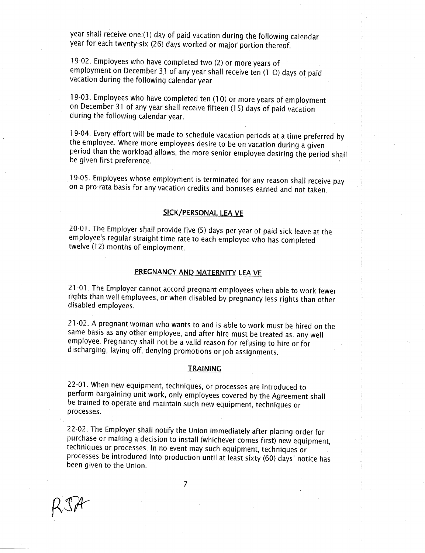year shall receive one:(1) day of paid vacation during the following calendar year for each twenty-six (26) days worked or major portion thereof.

19-02. Employees who have completed two (2) or more years of employment on December 31 of any year shall receive ten (1 O) days of paid vacation during the following calendar year. .

19-03. Employees who have completed ten (10) or more years of employment on December 31 of any year shall receive fifteen (15) days of paid vacation during the following calendar year.

19-04. Every effort will be made to schedule vacation periods at <sup>a</sup> time preferred by ' the employee. Where more employees desire to be on vacation during <sup>a</sup> given period than the workload allows, the more senior employee desiring the period shall be given first preference.

i9-05. Employees whose employment is terminated for any reason shall receive pay \_ on a pro-rata basis for any vacation credits and bonuses earned and not taken.

#### SICK/PERSONAL LEA VE

20-0i. The Employer shall provide five (5) days per year of paid sick leave at the employee's regular straight time rate to each employee who has completed . twelve (12) months of employment.

# PREGNANCY AND MATERNITY LEA VE

21-01. The Employer cannot accord pregnant employees when able to work fewer rights than well employees, or when disabled by pregnancy less rights than other disabled employees.

21-02. <sup>A</sup> pregnant woman who wants to and is able to work must be hired on the same basis as any other employee, and after hire must be treated as. any well employee. Pregnancy shall not be <sup>a</sup> valid reason for refusing to hire or for discharging, laying off, denying promotions or job assignments.

#### **TRAINING**

22-01. When new equipment, techniques, or processes are introduced to perform bargaining unit work, only employees covered by the Agreement shall <sup>1</sup> be trained to operate and maintain such new equipment, techniques or processes.

22-02. The Employer shall notify the Union immediately after placing order for purchase or making <sup>a</sup> decision to install (whichever comes first) new equipment, techniques or processes. in no event may such equipment, techniques or . processes be introduced into production until at least sixty (60) days' notice has . been given to the Union.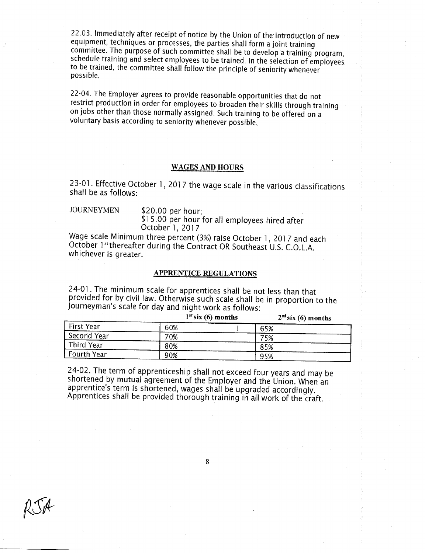22.03. Immediately after receipt of notice by the Union of the introduction of new equipment, techniques or processes, the parties shall form a joint training committee. The purpose of such committee shall be to develop a training program, schedule training and select employees to be trained. In the selection of employees to be trained, the committee shall follow the principle o possible.

22-04. The Employer agrees to provide reasonable opportunities that do not restrict production in order for employees to broaden their skills through training on jobs other than those normally assigned. Such training to be offered on a voluntary basis according to seniority whenever possible. '

## WAGES AND HOURS

23-01. Effective October 1, 2017 the wage scale in the various classifications shall be as follows:

JOURNEYMEN \$20.00 per hour: \$15.00 per hour for all employees hired after October 1, 2017

Wage scale Minimum three percent (3%) raise October 1, 2017 and each October 1st thereafter during the Contract OR Southeast U.S. C.O.L.A. whichever is greater.

# APPRENTICE REGULATIONS

24-01. The minimum scale for apprentices shall be not less than that provided for by civil law. Otherwise such scale shall be in proportion to the Journeyman's scale for day and night work as follows:

|                    |     | $1st$ six (6) months | $2nd$ six (6) months |
|--------------------|-----|----------------------|----------------------|
| First Year         | 60% | 65%                  |                      |
| Second Year        | 70% | 75%                  |                      |
| Third Year         | 80% | 85%                  |                      |
| <b>Fourth Year</b> | 90% | 95%                  |                      |

' 24-02. The term of apprenticeship shall not exceed four years and may be shortened by mutual agreement of the Employer and the Union. When an apprentice's term is shortened, wages shall be upgraded accordingly. Apprentices shall be provided thorough training in all work of the craft.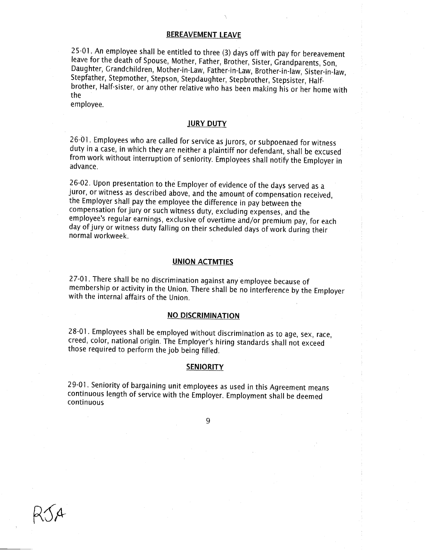# BEREAVEMENT LEAVE

25—0I. An employee shall be entitled to three (3) days off with pay for bereavement leave for the death of Spouse, Mother, Father, Brother, Sister, Grandparents, Son, Daughter, Grandchildren, Mother-in-Law, Father-in-Law, Brother-in-law, Sister-in—Iaw, Stepfather, Stepmother, Stepson, Stepdaughter, Stepbrother, Stepsister, Halfbrother, Half-sister, or any other relative who has been making his or her home with ' the

employee.

### **JURY DUTY**

26-01. Employees who are called for service as jurors, or subpoenaed for witness duty in a case, in which they are neither a plaintiff nor defendant, shall be excused from work without interruption of seniority. Employees shall notify the Employer in advance.

26-02. Upon presentation to the Employer of evidence of the days served as <sup>a</sup> juror, or witness as described above, and the amount of compensation received, the Employer shall pay the employee the difference in pay between the compensation for jury or such witness duty, excluding expenses, and the employee's regular earnings, exclusive of overtime and/or premium pay, for each day of jury or witness duty falling on their scheduled days of work during their normal workweek. <sup>3</sup>

#### UNION ACTMTIES

27-01. There shall be no discrimination against any employee because of membership or activity in the Union. There shall be no interference by the Employer with the internal affairs of the Union.

# NO DISCRIMINATION

28—01. Employees shall be employed without discrimination as to age, sex, race, creed, color, national origin. The Employer's hiring standards shall not exceed those required to perform the job being filled.

#### **SENIORITY**

29-0l. Seniority of bargaining unit employees as used in this Agreement means continuous length of service with the Employer. Employment shall be deemed continuous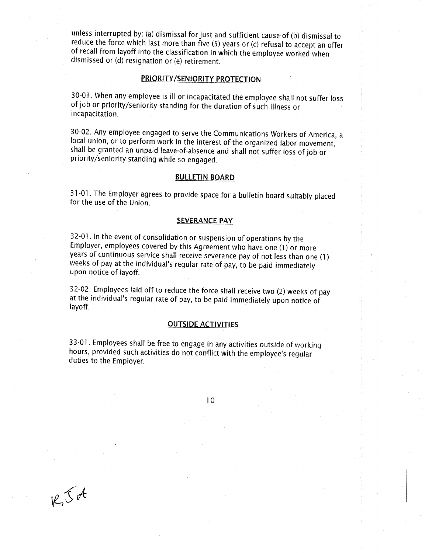unless interrupted by: (a) dismissal for just and sufficient cause of (b) dismissal to reduce the force which last more than five (5) years or (c) refusal to accept an offer of recall from layoff into the classification in which the employee worked when dismissed or (d) resignation or (e) retirement.

# PRIORITY/SENIORITY PROTECTION

30—0i. When any employee is ill or incapacitated the employee shall not suffer loss <sup>f</sup> of job or priority/seniority standing for the duration of such illness or incapacitation.

30-02. Any employee engaged to serve the Communications Workers of America, <sup>a</sup> local union, or to perform work in the interest of the organized labor movement, shall be granted an unpaid leave-of-absence and shall not suffer loss of job or priority/seniority standing while so engaged.

## **BULLETIN BOARD**

31-01. The Employer agrees to provide space for <sup>a</sup> bulletin board suitably placed <sup>3</sup> for the use of the Union.

#### **SEVERANCE PAY**

32-0l. in the event of consolidation or suspension of operations by the Employer, employees covered by this Agreement who haveone (i) or more years of continuous service shall receive severance pay of not less than one (i) ' weeks of pay at the individual's regular rate of pay, to be paid immediately upon notice of layoff.

32-02. Employees laid off to reduce the force shall receive two (2) weeks of pay at the individual's regular rate of pay, to be paid immediately upon notice of <sup>i</sup> layoff.

## **OUTSIDE ACTIVITIES**

33-01. Employees shall be free to engage in any activities outside of working ' hours, provided such activities do not conflict with the employee's regular ' duties to the Employer.

IO

 $R_{1}S_{0}A$